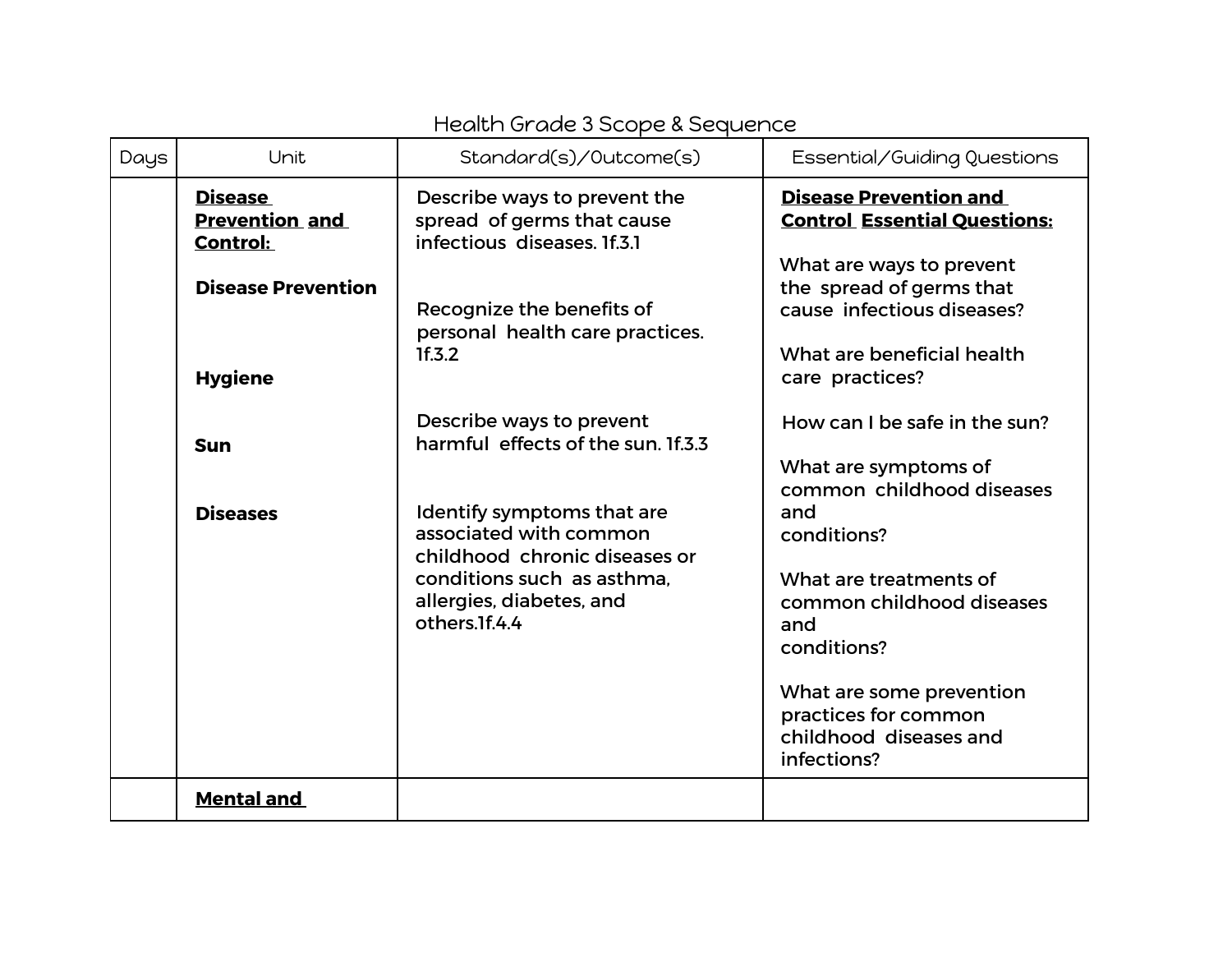## Health Grade 3 Scope & Sequence

| Days | Unit                                                       | Standard(s)/Outcome(s)                                                                                              | Essential/Guiding Questions                                                                                                         |
|------|------------------------------------------------------------|---------------------------------------------------------------------------------------------------------------------|-------------------------------------------------------------------------------------------------------------------------------------|
|      | <b>Disease</b><br><b>Prevention and</b><br><b>Control:</b> | Describe ways to prevent the<br>spread of germs that cause<br>infectious diseases. If.3.1                           | <b>Disease Prevention and</b><br><b>Control Essential Questions:</b>                                                                |
|      | <b>Disease Prevention</b><br><b>Hygiene</b>                | Recognize the benefits of<br>personal health care practices.<br>1f.3.2                                              | What are ways to prevent<br>the spread of germs that<br>cause infectious diseases?<br>What are beneficial health<br>care practices? |
|      | <b>Sun</b>                                                 | Describe ways to prevent<br>harmful effects of the sun. If.3.3                                                      | How can I be safe in the sun?                                                                                                       |
|      | <b>Diseases</b>                                            | Identify symptoms that are<br>associated with common<br>childhood chronic diseases or<br>conditions such as asthma. | What are symptoms of<br>common childhood diseases<br>and<br>conditions?<br>What are treatments of                                   |
|      |                                                            | allergies, diabetes, and<br>others. If. 4.4                                                                         | common childhood diseases<br>and<br>conditions?                                                                                     |
|      |                                                            |                                                                                                                     | What are some prevention<br>practices for common<br>childhood diseases and<br>infections?                                           |
|      | <b>Mental and</b>                                          |                                                                                                                     |                                                                                                                                     |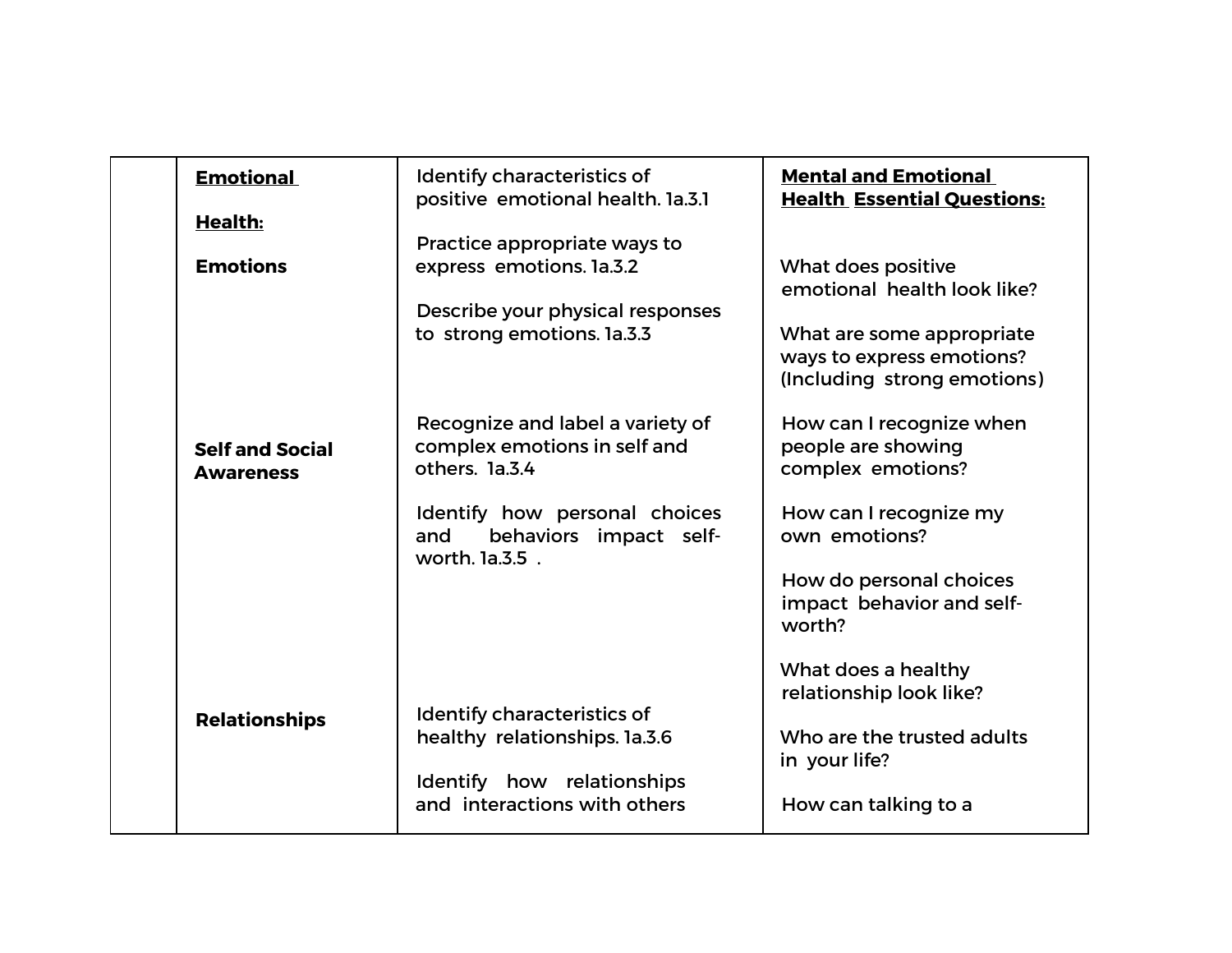| <b>Emotional</b>                           | Identify characteristics of<br>positive emotional health. Ia.3.1                           | <b>Mental and Emotional</b><br><b>Health Essential Questions:</b>                    |
|--------------------------------------------|--------------------------------------------------------------------------------------------|--------------------------------------------------------------------------------------|
| <b>Health:</b>                             | Practice appropriate ways to                                                               |                                                                                      |
| <b>Emotions</b>                            | express emotions. la.3.2<br>Describe your physical responses<br>to strong emotions. la.3.3 | What does positive<br>emotional health look like?<br>What are some appropriate       |
|                                            | Recognize and label a variety of                                                           | ways to express emotions?<br>(Including strong emotions)<br>How can I recognize when |
| <b>Self and Social</b><br><b>Awareness</b> | complex emotions in self and<br>others. la.3.4                                             | people are showing<br>complex emotions?                                              |
|                                            | Identify how personal choices<br>behaviors impact self-<br>and<br>worth. 1a.3.5 .          | How can I recognize my<br>own emotions?                                              |
|                                            |                                                                                            | How do personal choices<br>impact behavior and self-<br>worth?                       |
|                                            | Identify characteristics of                                                                | What does a healthy<br>relationship look like?                                       |
| <b>Relationships</b>                       | healthy relationships. la.3.6<br>Identify how relationships                                | Who are the trusted adults<br>in your life?                                          |
|                                            | and interactions with others                                                               | How can talking to a                                                                 |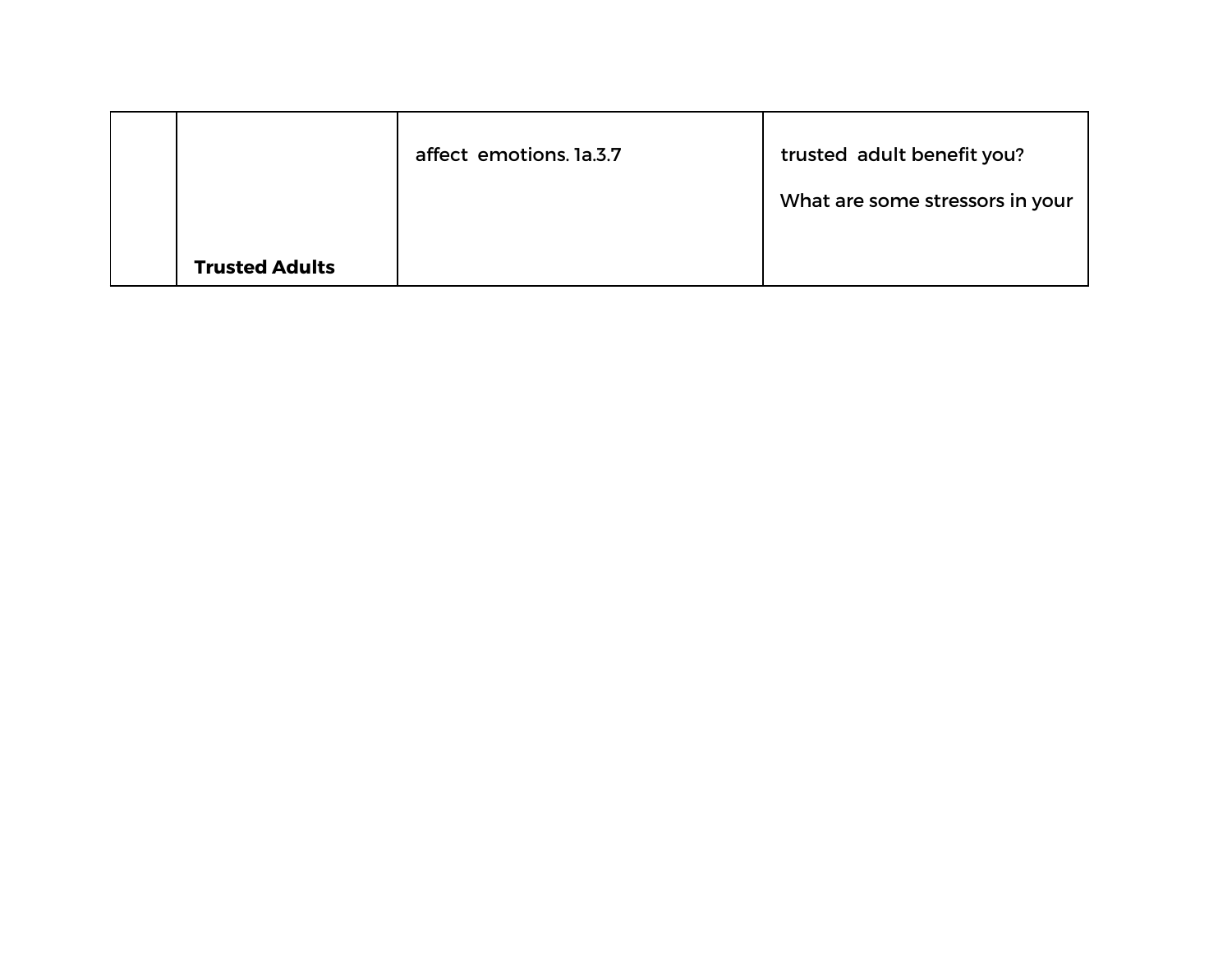|                       | affect emotions. Ia.3.7 | trusted adult benefit you?<br>What are some stressors in your |
|-----------------------|-------------------------|---------------------------------------------------------------|
| <b>Trusted Adults</b> |                         |                                                               |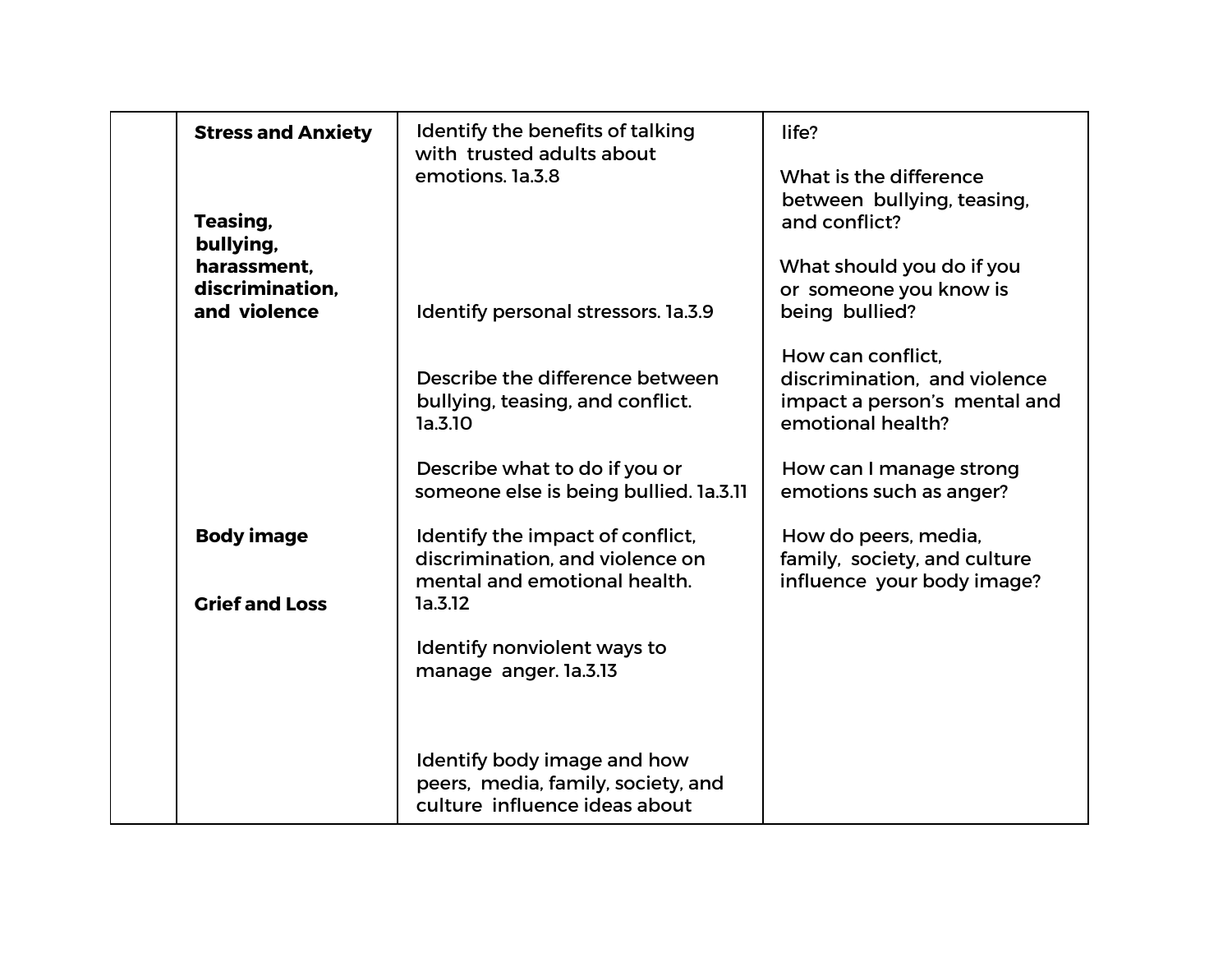| <b>Stress and Anxiety</b>                      | Identify the benefits of talking<br>with trusted adults about<br>emotions. la.3.8                              | life?<br>What is the difference                                                                        |
|------------------------------------------------|----------------------------------------------------------------------------------------------------------------|--------------------------------------------------------------------------------------------------------|
| Teasing,<br>bullying,                          |                                                                                                                | between bullying, teasing,<br>and conflict?                                                            |
| harassment.<br>discrimination.<br>and violence | Identify personal stressors. 1a.3.9                                                                            | What should you do if you<br>or someone you know is<br>being bullied?                                  |
|                                                | Describe the difference between<br>bullying, teasing, and conflict.<br>1a.3.10                                 | How can conflict.<br>discrimination, and violence<br>impact a person's mental and<br>emotional health? |
|                                                | Describe what to do if you or<br>someone else is being bullied. 1a.3.11                                        | How can I manage strong<br>emotions such as anger?                                                     |
| <b>Body image</b><br><b>Grief and Loss</b>     | Identify the impact of conflict,<br>discrimination, and violence on<br>mental and emotional health.<br>1a.3.12 | How do peers, media,<br>family, society, and culture<br>influence your body image?                     |
|                                                | Identify nonviolent ways to<br>manage anger. la.3.13                                                           |                                                                                                        |
|                                                | Identify body image and how<br>peers, media, family, society, and<br>culture influence ideas about             |                                                                                                        |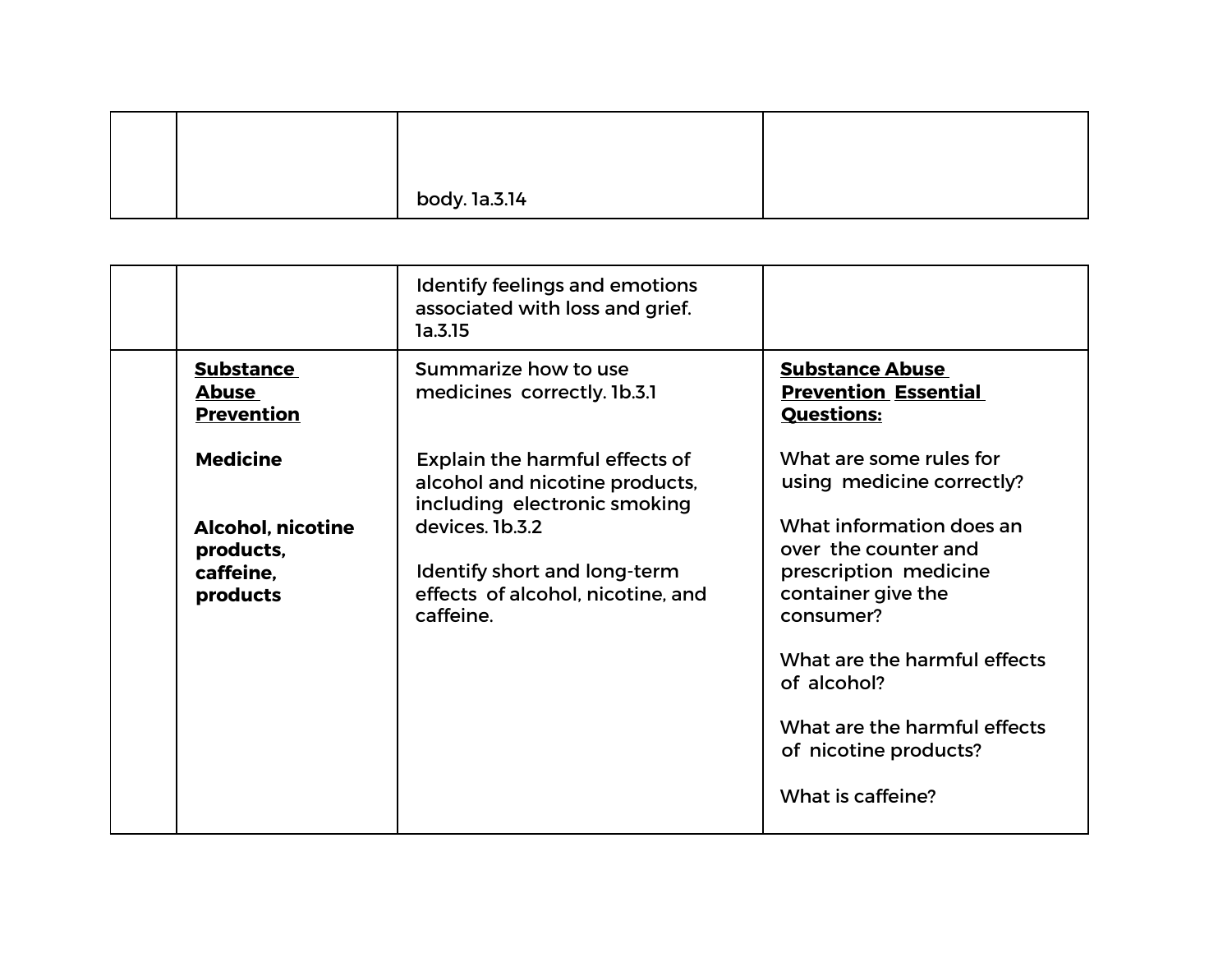|  | body. 1a.3.14 |  |
|--|---------------|--|

|                                                                | Identify feelings and emotions<br>associated with loss and grief.<br>1a.3.15                      |                                                                                                              |
|----------------------------------------------------------------|---------------------------------------------------------------------------------------------------|--------------------------------------------------------------------------------------------------------------|
| <b>Substance</b><br><b>Abuse</b><br><b>Prevention</b>          | Summarize how to use<br>medicines correctly. 1b.3.1                                               | <b>Substance Abuse</b><br><b>Prevention Essential</b><br><b>Questions:</b>                                   |
| <b>Medicine</b>                                                | Explain the harmful effects of<br>alcohol and nicotine products,<br>including electronic smoking  | What are some rules for<br>using medicine correctly?                                                         |
| <b>Alcohol, nicotine</b><br>products,<br>caffeine.<br>products | devices. 1b.3.2<br>Identify short and long-term<br>effects of alcohol, nicotine, and<br>caffeine. | What information does an<br>over the counter and<br>prescription medicine<br>container give the<br>consumer? |
|                                                                |                                                                                                   | What are the harmful effects<br>of alcohol?                                                                  |
|                                                                |                                                                                                   | What are the harmful effects<br>of nicotine products?                                                        |
|                                                                |                                                                                                   | What is caffeine?                                                                                            |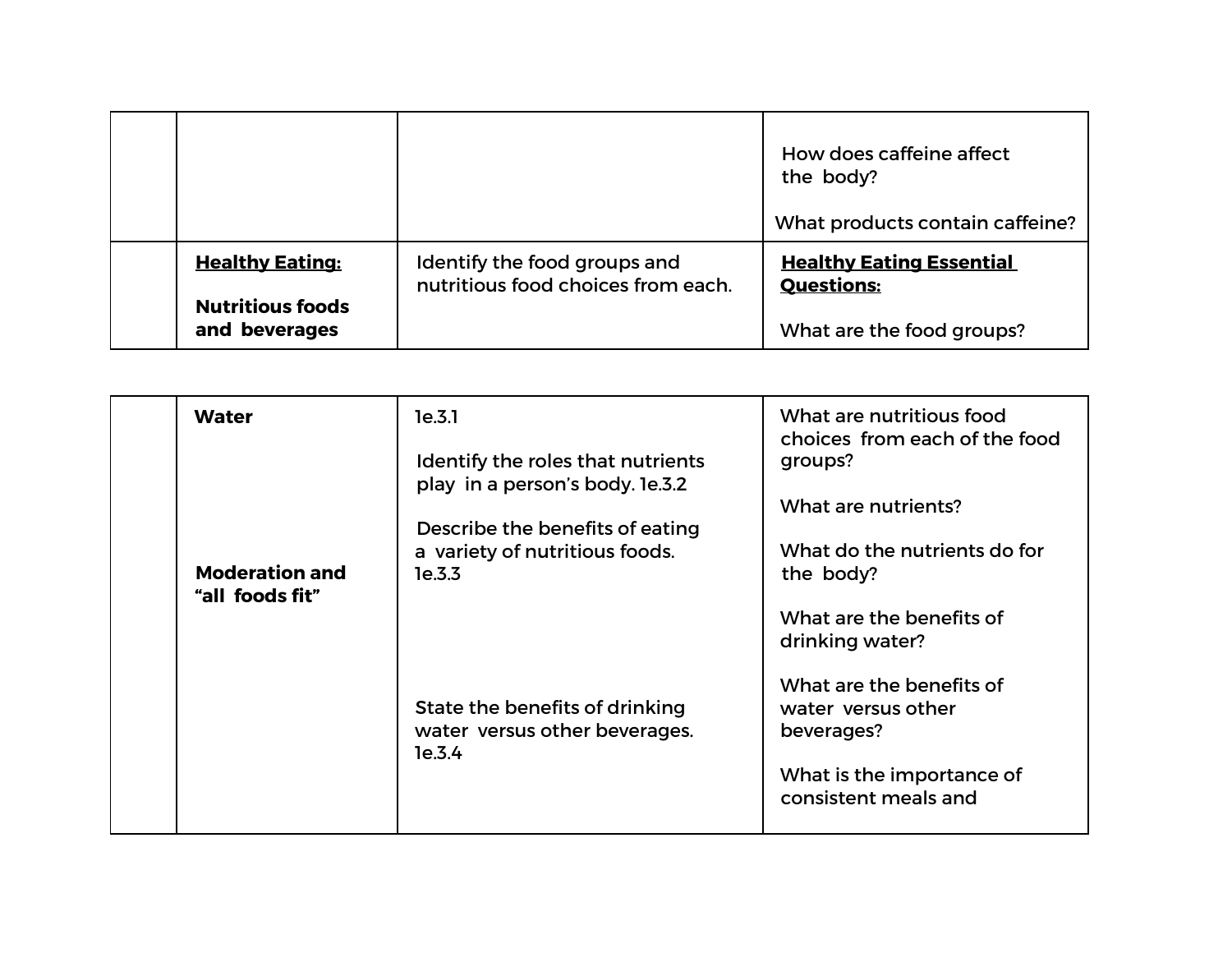|                                                                    |                                                                    | How does caffeine affect<br>the body?<br>What products contain caffeine?          |
|--------------------------------------------------------------------|--------------------------------------------------------------------|-----------------------------------------------------------------------------------|
| <b>Healthy Eating:</b><br><b>Nutritious foods</b><br>and beverages | Identify the food groups and<br>nutritious food choices from each. | <b>Healthy Eating Essential</b><br><b>Questions:</b><br>What are the food groups? |

| <b>Water</b>                             | 1e.3.1                                                                      | What are nutritious food<br>choices from each of the food                                                         |
|------------------------------------------|-----------------------------------------------------------------------------|-------------------------------------------------------------------------------------------------------------------|
|                                          | Identify the roles that nutrients<br>play in a person's body. Ie.3.2        | groups?<br>What are nutrients?                                                                                    |
| <b>Moderation and</b><br>"all foods fit" | Describe the benefits of eating<br>a variety of nutritious foods.<br>1e.3.3 | What do the nutrients do for<br>the body?<br>What are the benefits of<br>drinking water?                          |
|                                          | State the benefits of drinking<br>water versus other beverages.<br>1e.3.4   | What are the benefits of<br>water versus other<br>beverages?<br>What is the importance of<br>consistent meals and |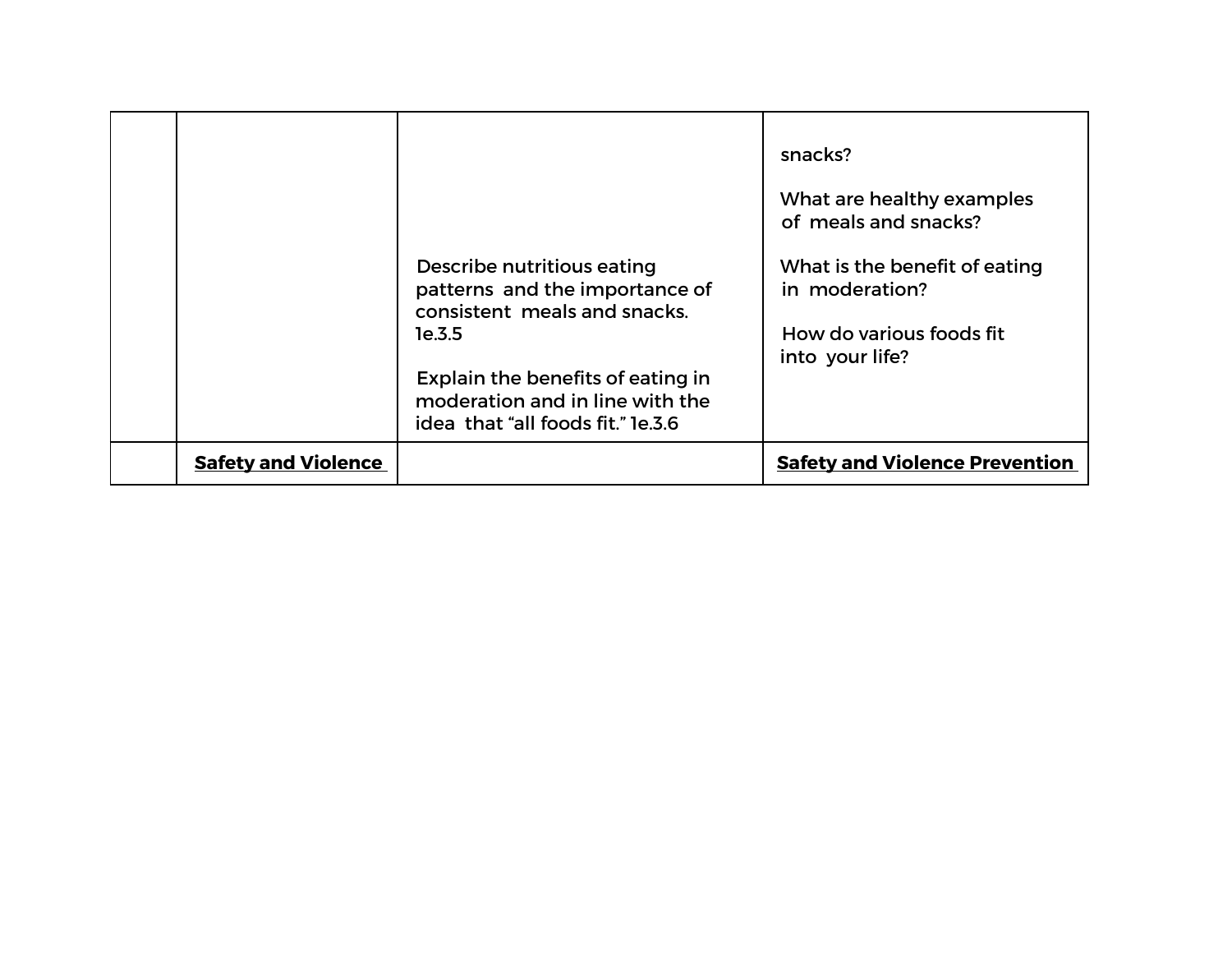| <b>1e.3.5</b>              | Describe nutritious eating<br>patterns and the importance of<br>consistent meals and snacks.<br>Explain the benefits of eating in<br>moderation and in line with the<br>idea that "all foods fit." le.3.6 | snacks?<br>What are healthy examples<br>of meals and snacks?<br>What is the benefit of eating<br>in moderation?<br>How do various foods fit<br>into your life? |
|----------------------------|-----------------------------------------------------------------------------------------------------------------------------------------------------------------------------------------------------------|----------------------------------------------------------------------------------------------------------------------------------------------------------------|
| <b>Safety and Violence</b> |                                                                                                                                                                                                           | <b>Safety and Violence Prevention</b>                                                                                                                          |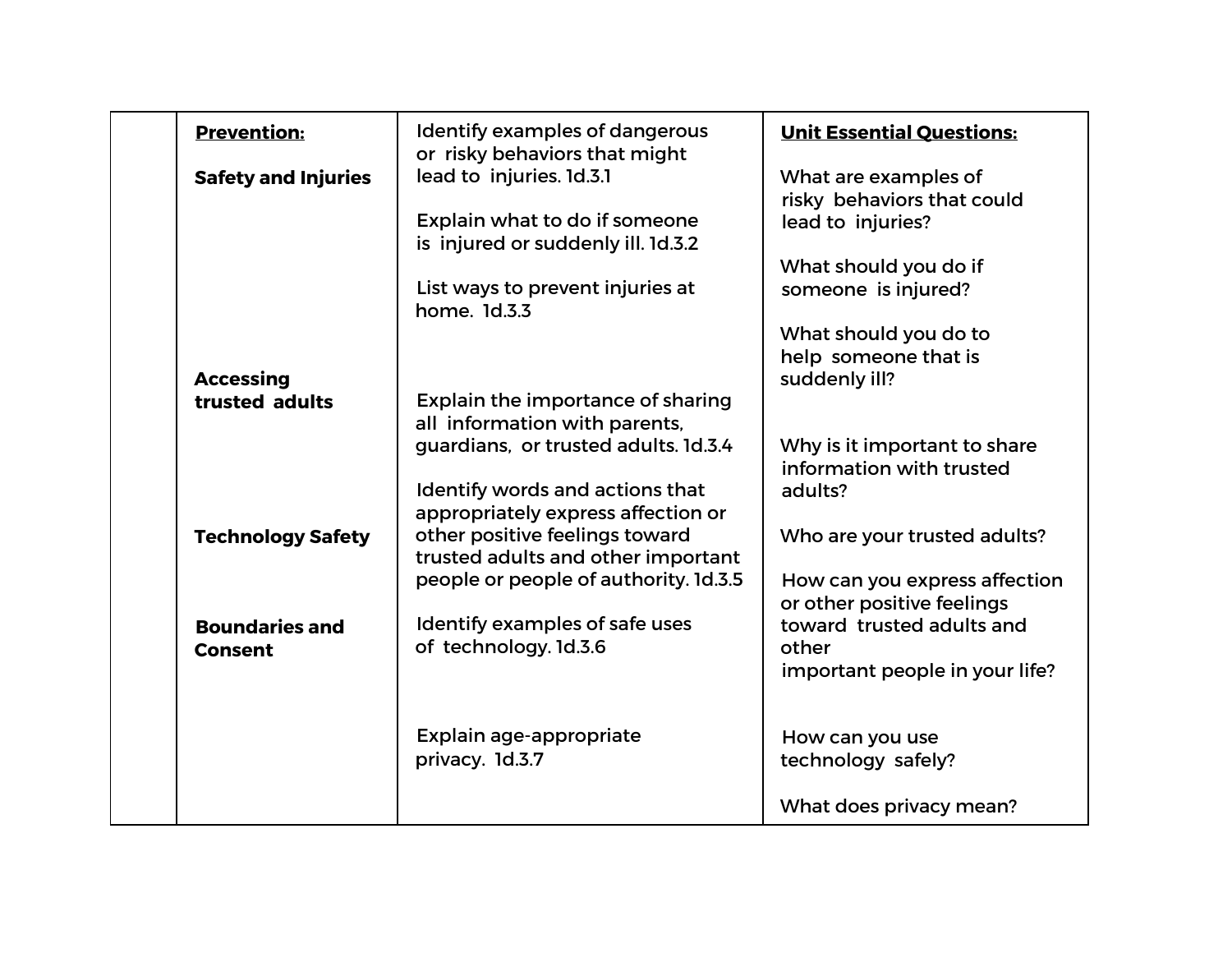| <b>Prevention:</b>         | Identify examples of dangerous        | <b>Unit Essential Questions:</b>                         |
|----------------------------|---------------------------------------|----------------------------------------------------------|
|                            | or risky behaviors that might         |                                                          |
| <b>Safety and Injuries</b> | lead to injuries. 1d.3.1              | What are examples of                                     |
|                            | Explain what to do if someone         | risky behaviors that could<br>lead to injuries?          |
|                            | is injured or suddenly ill. 1d.3.2    | What should you do if                                    |
|                            | List ways to prevent injuries at      | someone is injured?                                      |
|                            | home. 1d.3.3                          |                                                          |
|                            |                                       | What should you do to                                    |
|                            |                                       | help someone that is                                     |
| <b>Accessing</b>           |                                       | suddenly ill?                                            |
| trusted adults             | Explain the importance of sharing     |                                                          |
|                            | all information with parents,         |                                                          |
|                            | guardians, or trusted adults. 1d.3.4  | Why is it important to share<br>information with trusted |
|                            | Identify words and actions that       | adults?                                                  |
|                            | appropriately express affection or    |                                                          |
| <b>Technology Safety</b>   | other positive feelings toward        | Who are your trusted adults?                             |
|                            | trusted adults and other important    |                                                          |
|                            | people or people of authority. 1d.3.5 | How can you express affection                            |
|                            |                                       | or other positive feelings                               |
| <b>Boundaries and</b>      | Identify examples of safe uses        | toward trusted adults and                                |
| <b>Consent</b>             | of technology. 1d.3.6                 | other                                                    |
|                            |                                       | important people in your life?                           |
|                            |                                       |                                                          |
|                            | Explain age-appropriate               | How can you use                                          |
|                            | privacy. 1d.3.7                       | technology safely?                                       |
|                            |                                       |                                                          |
|                            |                                       | What does privacy mean?                                  |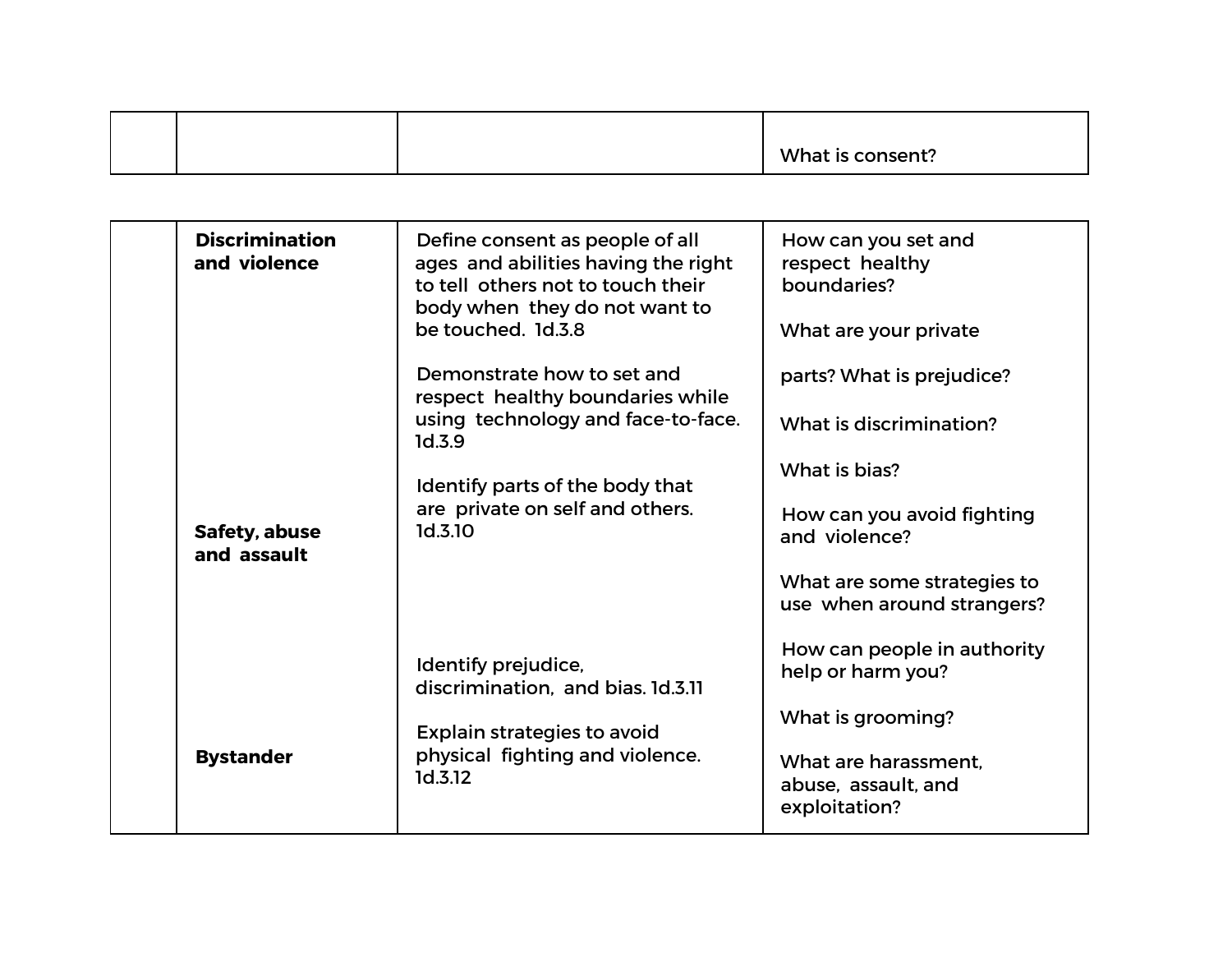|  | What is consent? |
|--|------------------|

| <b>Discrimination</b><br>and violence | Define consent as people of all<br>ages and abilities having the right<br>to tell others not to touch their<br>body when they do not want to<br>be touched. 1d.3.8<br>Demonstrate how to set and | How can you set and<br>respect healthy<br>boundaries?<br>What are your private<br>parts? What is prejudice? |
|---------------------------------------|--------------------------------------------------------------------------------------------------------------------------------------------------------------------------------------------------|-------------------------------------------------------------------------------------------------------------|
|                                       | respect healthy boundaries while<br>using technology and face-to-face.<br>1d.3.9                                                                                                                 | What is discrimination?                                                                                     |
|                                       | Identify parts of the body that                                                                                                                                                                  | What is bias?                                                                                               |
| Safety, abuse<br>and assault          | are private on self and others.<br>1d.3.10                                                                                                                                                       | How can you avoid fighting<br>and violence?                                                                 |
|                                       |                                                                                                                                                                                                  | What are some strategies to<br>use when around strangers?                                                   |
|                                       | Identify prejudice,<br>discrimination, and bias. 1d.3.11                                                                                                                                         | How can people in authority<br>help or harm you?                                                            |
|                                       | <b>Explain strategies to avoid</b>                                                                                                                                                               | What is grooming?                                                                                           |
| <b>Bystander</b>                      | physical fighting and violence.<br>1d.3.12                                                                                                                                                       | What are harassment.<br>abuse, assault, and<br>exploitation?                                                |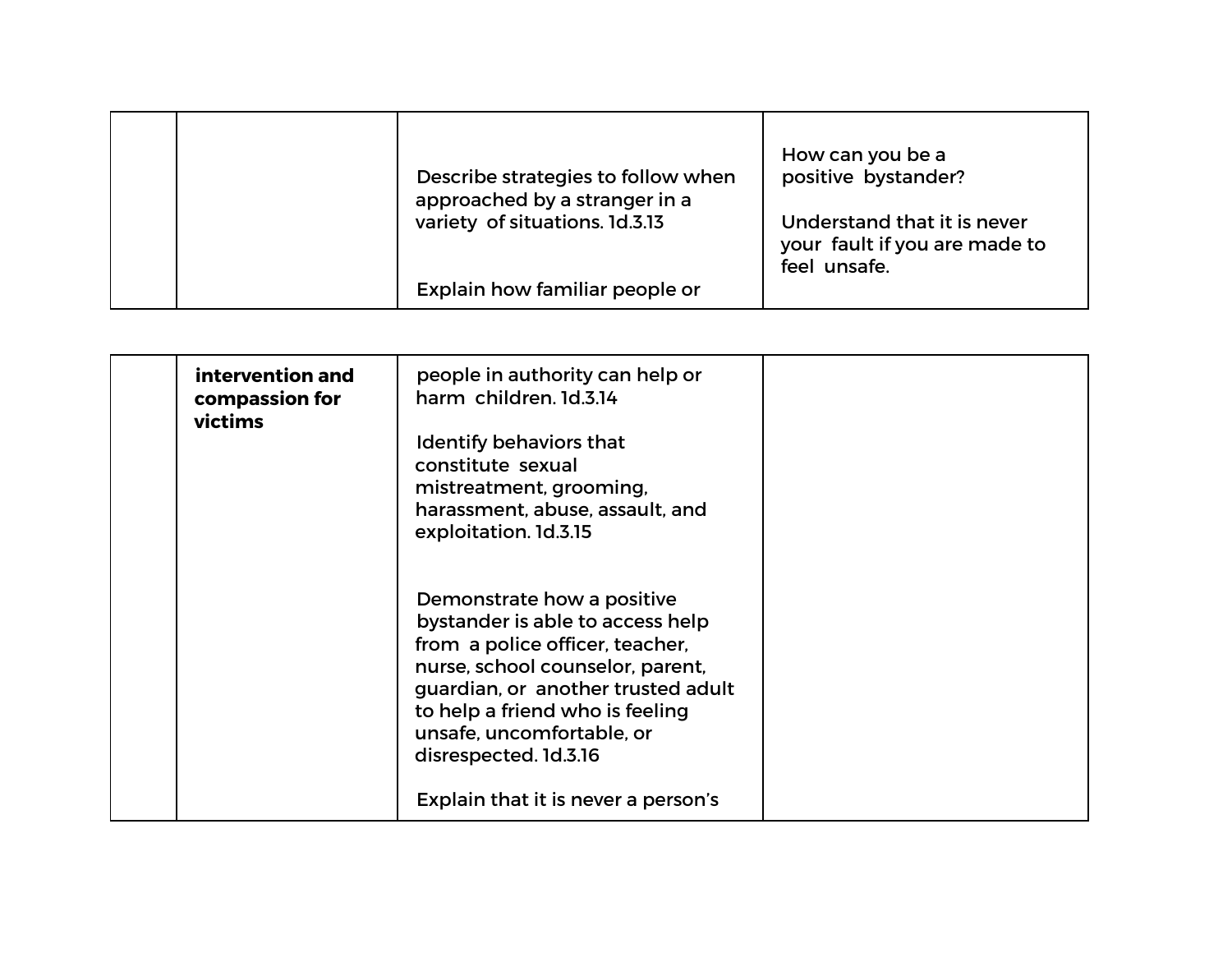| Describe strategies to follow when<br>approached by a stranger in a<br>variety of situations. 1d.3.13 | How can you be a<br>positive bystander?<br>Understand that it is never<br>your fault if you are made to<br>feel unsafe. |
|-------------------------------------------------------------------------------------------------------|-------------------------------------------------------------------------------------------------------------------------|
| Explain how familiar people or                                                                        |                                                                                                                         |

| intervention and<br>compassion for<br>victims | people in authority can help or<br>harm children. 1d.3.14<br>Identify behaviors that<br>constitute sexual<br>mistreatment, grooming,<br>harassment, abuse, assault, and<br>exploitation. 1d.3.15                                                                     |  |
|-----------------------------------------------|----------------------------------------------------------------------------------------------------------------------------------------------------------------------------------------------------------------------------------------------------------------------|--|
|                                               | Demonstrate how a positive<br>bystander is able to access help<br>from a police officer, teacher,<br>nurse, school counselor, parent,<br>guardian, or another trusted adult<br>to help a friend who is feeling<br>unsafe, uncomfortable, or<br>disrespected. 1d.3.16 |  |
|                                               | Explain that it is never a person's                                                                                                                                                                                                                                  |  |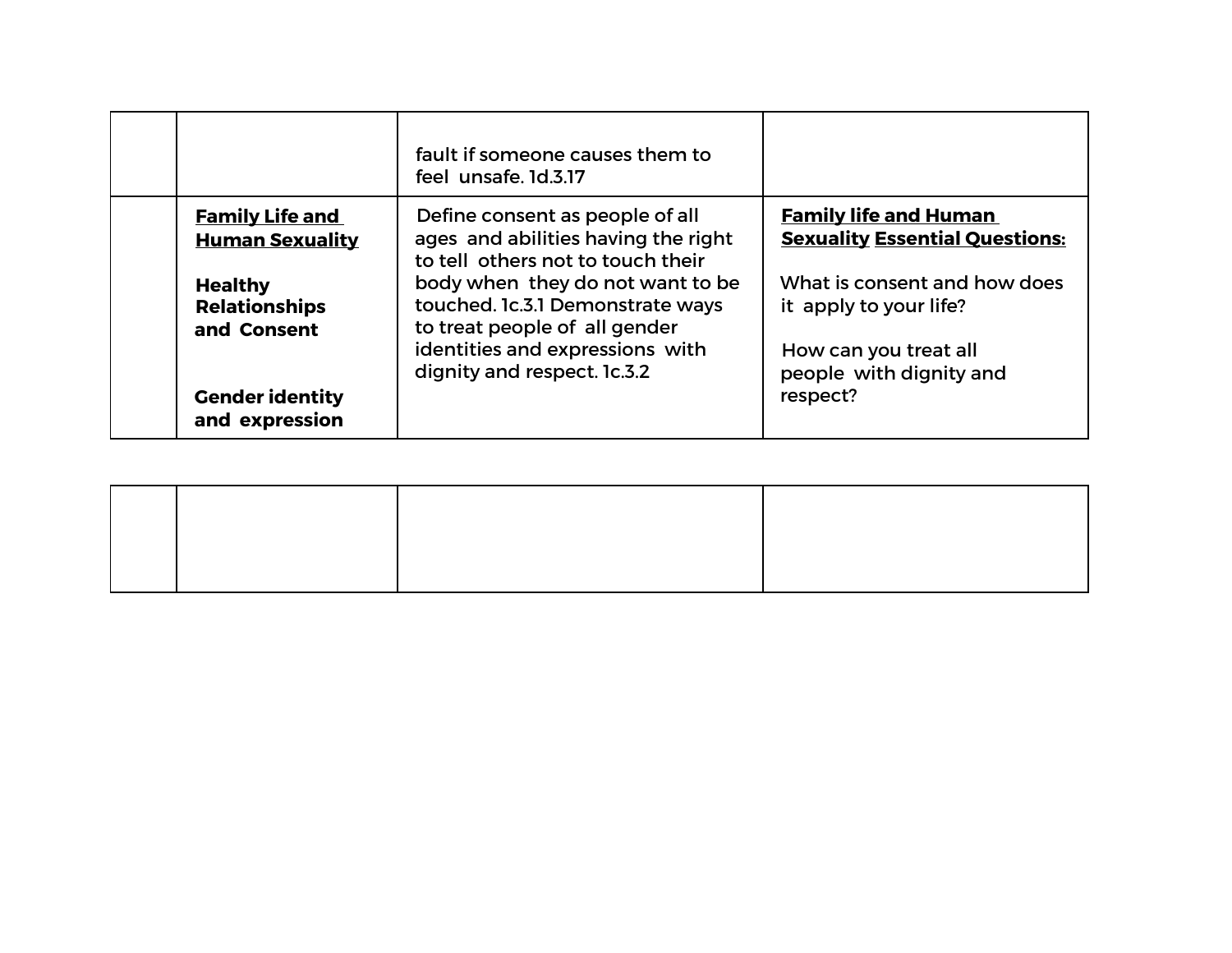|                                                       | fault if someone causes them to<br>feel unsafe. 1d.3.17                                                                                  |                                                                                 |
|-------------------------------------------------------|------------------------------------------------------------------------------------------------------------------------------------------|---------------------------------------------------------------------------------|
| <b>Family Life and</b><br><b>Human Sexuality</b>      | Define consent as people of all<br>ages and abilities having the right<br>to tell others not to touch their                              | <b>Family life and Human</b><br><b>Sexuality Essential Questions:</b>           |
| <b>Healthy</b><br><b>Relationships</b><br>and Consent | body when they do not want to be<br>touched. Ic.3.1 Demonstrate ways<br>to treat people of all gender<br>identities and expressions with | What is consent and how does<br>it apply to your life?<br>How can you treat all |
| <b>Gender identity</b><br>and expression              | dignity and respect. 1c.3.2                                                                                                              | people with dignity and<br>respect?                                             |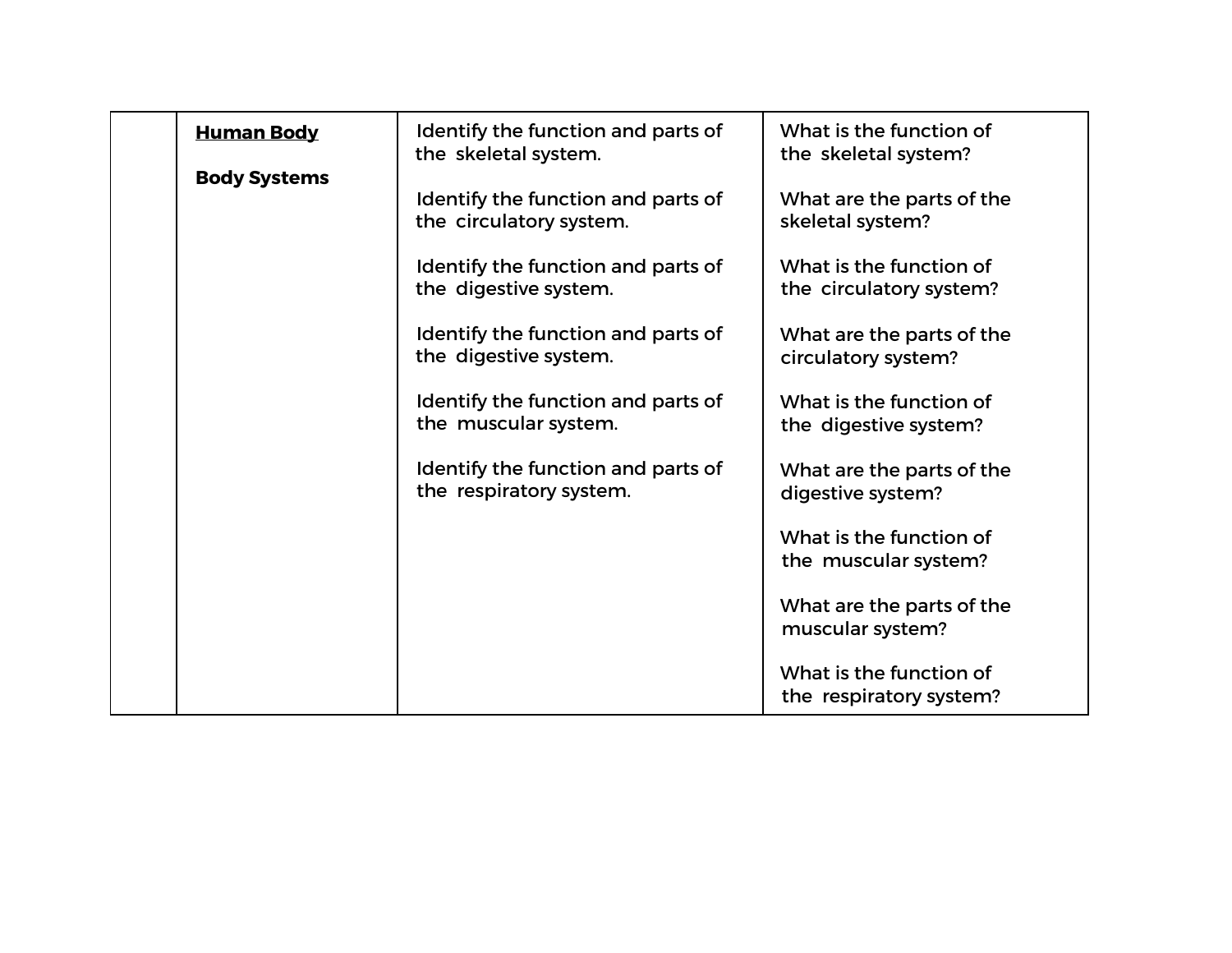| <b>Human Body</b>   | Identify the function and parts of<br>the skeletal system.    | What is the function of<br>the skeletal system?    |
|---------------------|---------------------------------------------------------------|----------------------------------------------------|
| <b>Body Systems</b> | Identify the function and parts of<br>the circulatory system. | What are the parts of the<br>skeletal system?      |
|                     | Identify the function and parts of<br>the digestive system.   | What is the function of<br>the circulatory system? |
|                     | Identify the function and parts of<br>the digestive system.   | What are the parts of the<br>circulatory system?   |
|                     | Identify the function and parts of<br>the muscular system.    | What is the function of<br>the digestive system?   |
|                     | Identify the function and parts of<br>the respiratory system. | What are the parts of the<br>digestive system?     |
|                     |                                                               | What is the function of<br>the muscular system?    |
|                     |                                                               | What are the parts of the<br>muscular system?      |
|                     |                                                               | What is the function of<br>the respiratory system? |